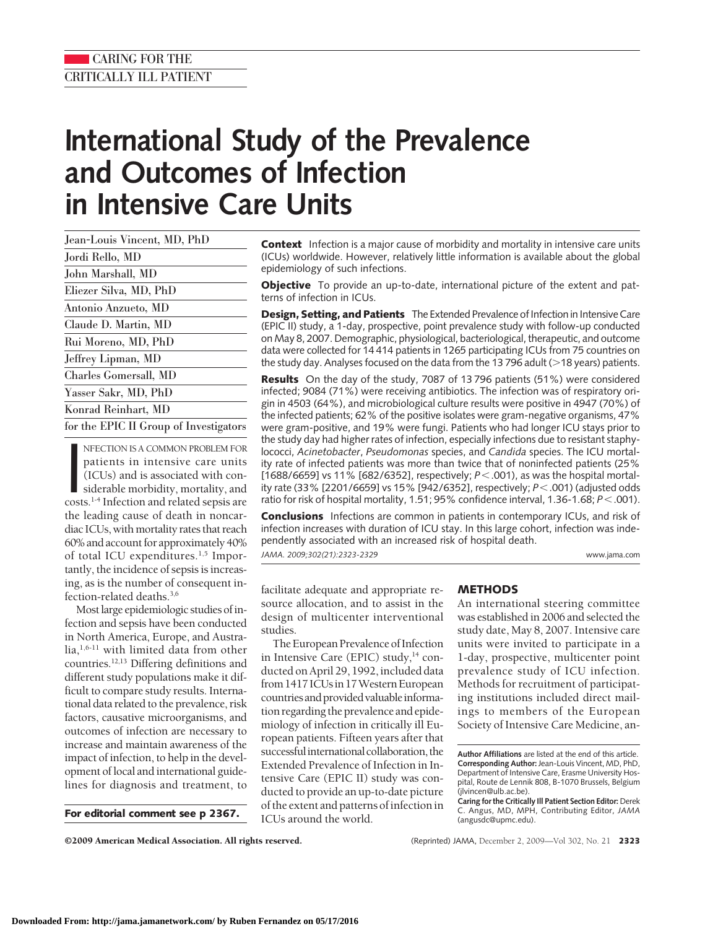# **International Study of the Prevalence and Outcomes of Infection in Intensive Care Units**

NFECTION IS A COMMON PROBLEM FOR<br>patients in intensive care units<br>(ICUs) and is associated with con-<br>siderable morbidity, mortality, and<br>costs.<sup>1-4</sup> Infection and related sepsis are NFECTION IS A COMMON PROBLEM FOR patients in intensive care units (ICUs) and is associated with considerable morbidity, mortality, and the leading cause of death in noncardiac ICUs, with mortality rates that reach 60% and account for approximately 40% of total ICU expenditures. $1,5$  Importantly, the incidence of sepsis is increasing, as is the number of consequent infection-related deaths.3,6

Most large epidemiologic studies of infection and sepsis have been conducted in North America, Europe, and Austra $lia<sub>1</sub>,<sub>6-11</sub>$  with limited data from other countries.12,13 Differing definitions and different study populations make it difficult to compare study results. International data related to the prevalence, risk factors, causative microorganisms, and outcomes of infection are necessary to increase and maintain awareness of the impact of infection, to help in the development of local and international guidelines for diagnosis and treatment, to

**For editorial comment see p 2367.**

**Context** Infection is a major cause of morbidity and mortality in intensive care units (ICUs) worldwide. However, relatively little information is available about the global epidemiology of such infections.

**Objective** To provide an up-to-date, international picture of the extent and patterns of infection in ICUs.

**Design, Setting, and Patients** The Extended Prevalence of Infection in Intensive Care (EPIC II) study, a 1-day, prospective, point prevalence study with follow-up conducted on May 8, 2007. Demographic, physiological, bacteriological, therapeutic, and outcome data were collected for 14 414 patients in 1265 participating ICUs from 75 countries on the study day. Analyses focused on the data from the 13 796 adult ( $>$ 18 years) patients.

**Results** On the day of the study, 7087 of 13 796 patients (51%) were considered infected; 9084 (71%) were receiving antibiotics. The infection was of respiratory origin in 4503 (64%), and microbiological culture results were positive in 4947 (70%) of the infected patients; 62% of the positive isolates were gram-negative organisms, 47% were gram-positive, and 19% were fungi. Patients who had longer ICU stays prior to the study day had higher rates of infection, especially infections due to resistant staphylococci, *Acinetobacter*, *Pseudomonas* species, and *Candida* species. The ICU mortality rate of infected patients was more than twice that of noninfected patients (25% [1688/6659] vs 11% [682/6352], respectively;  $P < .001$ ), as was the hospital mortality rate (33% [2201/6659] vs 15% [942/6352], respectively; *P*.001) (adjusted odds ratio for risk of hospital mortality, 1.51; 95% confidence interval, 1.36-1.68;  $P$  < .001).

**Conclusions** Infections are common in patients in contemporary ICUs, and risk of infection increases with duration of ICU stay. In this large cohort, infection was independently associated with an increased risk of hospital death. *JAMA. 2009;302(21):2323-2329* www.jama.com

facilitate adequate and appropriate resource allocation, and to assist in the design of multicenter interventional studies.

The European Prevalence of Infection in Intensive Care (EPIC) study,<sup>14</sup> conducted on April 29, 1992, included data from 1417 ICUsin 17WesternEuropean countries and provided valuable information regarding the prevalence and epidemiology of infection in critically ill European patients. Fifteen years after that successful international collaboration, the Extended Prevalence of Infection in Intensive Care (EPIC II) study was conducted to provide an up-to-date picture of the extent and patterns of infection in ICUs around the world.

## **METHODS**

An international steering committee was established in 2006 and selected the study date, May 8, 2007. Intensive care units were invited to participate in a 1-day, prospective, multicenter point prevalence study of ICU infection. Methods for recruitment of participating institutions included direct mailings to members of the European Society of Intensive Care Medicine, an-

**Author Affiliations** are listed at the end of this article. **Corresponding Author:** Jean-Louis Vincent, MD, PhD, Department of Intensive Care, Erasme University Hospital, Route de Lennik 808, B-1070 Brussels, Belgium (jlvincen@ulb.ac.be).

**Caring for the Critically Ill Patient Section Editor:** Derek C. Angus, MD, MPH, Contributing Editor, *JAMA* (angusdc@upmc.edu).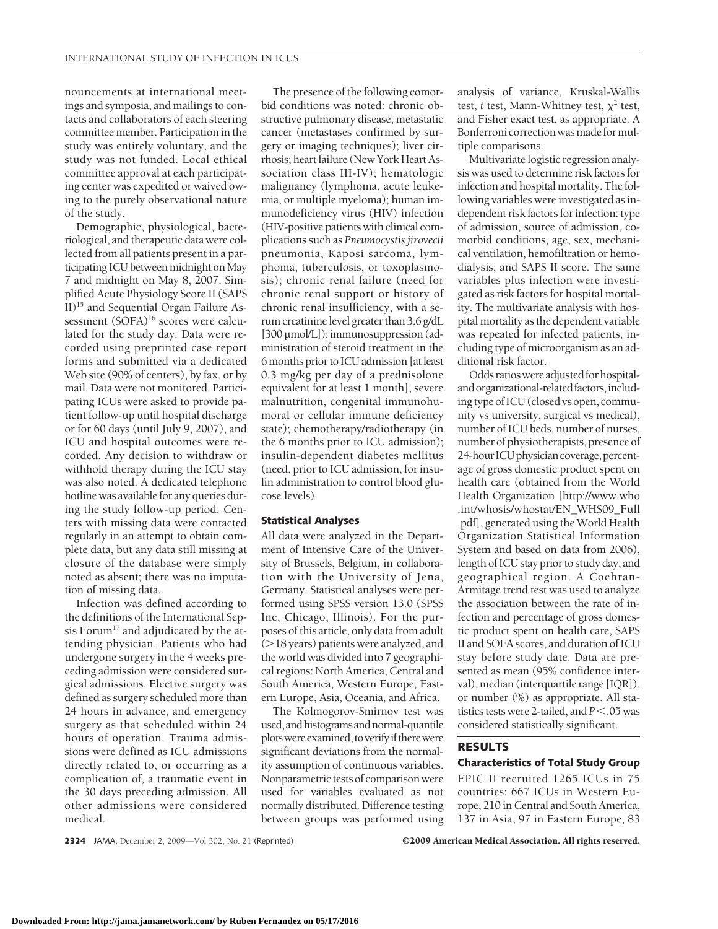nouncements at international meetings and symposia, and mailings to contacts and collaborators of each steering committee member. Participation in the study was entirely voluntary, and the study was not funded. Local ethical committee approval at each participating center was expedited or waived owing to the purely observational nature of the study.

Demographic, physiological, bacteriological, and therapeutic data were collected from all patients present in a participating ICU between midnight on May 7 and midnight on May 8, 2007. Simplified Acute Physiology Score II (SAPS II)15 and Sequential Organ Failure Assessment (SOFA)<sup>16</sup> scores were calculated for the study day. Data were recorded using preprinted case report forms and submitted via a dedicated Web site (90% of centers), by fax, or by mail. Data were not monitored. Participating ICUs were asked to provide patient follow-up until hospital discharge or for 60 days (until July 9, 2007), and ICU and hospital outcomes were recorded. Any decision to withdraw or withhold therapy during the ICU stay was also noted. A dedicated telephone hotline was available for any queries during the study follow-up period. Centers with missing data were contacted regularly in an attempt to obtain complete data, but any data still missing at closure of the database were simply noted as absent; there was no imputation of missing data.

Infection was defined according to the definitions of the International Sepsis Forum<sup>17</sup> and adjudicated by the attending physician. Patients who had undergone surgery in the 4 weeks preceding admission were considered surgical admissions. Elective surgery was defined as surgery scheduled more than 24 hours in advance, and emergency surgery as that scheduled within 24 hours of operation. Trauma admissions were defined as ICU admissions directly related to, or occurring as a complication of, a traumatic event in the 30 days preceding admission. All other admissions were considered medical.

The presence of the following comorbid conditions was noted: chronic obstructive pulmonary disease; metastatic cancer (metastases confirmed by surgery or imaging techniques); liver cirrhosis; heart failure (New York Heart Association class III-IV); hematologic malignancy (lymphoma, acute leukemia, or multiple myeloma); human immunodeficiency virus (HIV) infection (HIV-positive patients with clinical complications such as *Pneumocystis jirovecii* pneumonia, Kaposi sarcoma, lymphoma, tuberculosis, or toxoplasmosis); chronic renal failure (need for chronic renal support or history of chronic renal insufficiency, with a serum creatininelevel greater than 3.6 g/dL [300 µmol/L]);immunosuppression (administration of steroid treatment in the 6months prior to ICU admission [atleast 0.3 mg/kg per day of a prednisolone equivalent for at least 1 month], severe malnutrition, congenital immunohumoral or cellular immune deficiency state); chemotherapy/radiotherapy (in the 6 months prior to ICU admission); insulin-dependent diabetes mellitus (need, prior to ICU admission, for insulin administration to control blood glucose levels).

#### **Statistical Analyses**

All data were analyzed in the Department of Intensive Care of the University of Brussels, Belgium, in collaboration with the University of Jena, Germany. Statistical analyses were performed using SPSS version 13.0 (SPSS Inc, Chicago, Illinois). For the purposes of this article, only data from adult (>18 years) patients were analyzed, and the world was divided into 7 geographical regions: North America, Central and South America, Western Europe, Eastern Europe, Asia, Oceania, and Africa.

The Kolmogorov-Smirnov test was used,andhistogramsandnormal-quantile plots were examined, to verify if there were significant deviations from the normality assumption of continuous variables. Nonparametric tests of comparisonwere used for variables evaluated as not normally distributed. Difference testing between groups was performed using analysis of variance, Kruskal-Wallis test, *t* test, Mann-Whitney test,  $\chi^2$  test, and Fisher exact test, as appropriate. A Bonferroni correction was made for multiple comparisons.

Multivariate logistic regression analysis was used to determine risk factors for infection and hospital mortality. The following variables were investigated as independent risk factors for infection: type of admission, source of admission, comorbid conditions, age, sex, mechanical ventilation, hemofiltration or hemodialysis, and SAPS II score. The same variables plus infection were investigated as risk factors for hospital mortality. The multivariate analysis with hospital mortality as the dependent variable was repeated for infected patients, including type of microorganism as an additional risk factor.

Odds ratios were adjusted for hospitaland organizational-related factors, including type of ICU (closed vs open, community vs university, surgical vs medical), number of ICU beds, number of nurses, number of physiotherapists, presence of 24-hour ICU physician coverage, percentage of gross domestic product spent on health care (obtained from the World Health Organization [http://www.who .int/whosis/whostat/EN\_WHS09\_Full .pdf], generated using the World Health Organization Statistical Information System and based on data from 2006**)**, length of ICU stay prior to study day, and geographical region. A Cochran-Armitage trend test was used to analyze the association between the rate of infection and percentage of gross domestic product spent on health care, SAPS II and SOFA scores, and duration of ICU stay before study date. Data are presented as mean (95% confidence interval), median (interquartile range [IQR]), or number (%) as appropriate. All statistics tests were 2-tailed, and  $P < 0.05$  was considered statistically significant.

### **RESULTS**

### **Characteristics of Total Study Group**

EPIC II recruited 1265 ICUs in 75 countries: 667 ICUs in Western Europe, 210 in Central and South America, 137 in Asia, 97 in Eastern Europe, 83

**2324** JAMA, December 2, 2009—Vol 302, No. 21 (Reprinted) ©2009 American Medical Association. All rights reserved.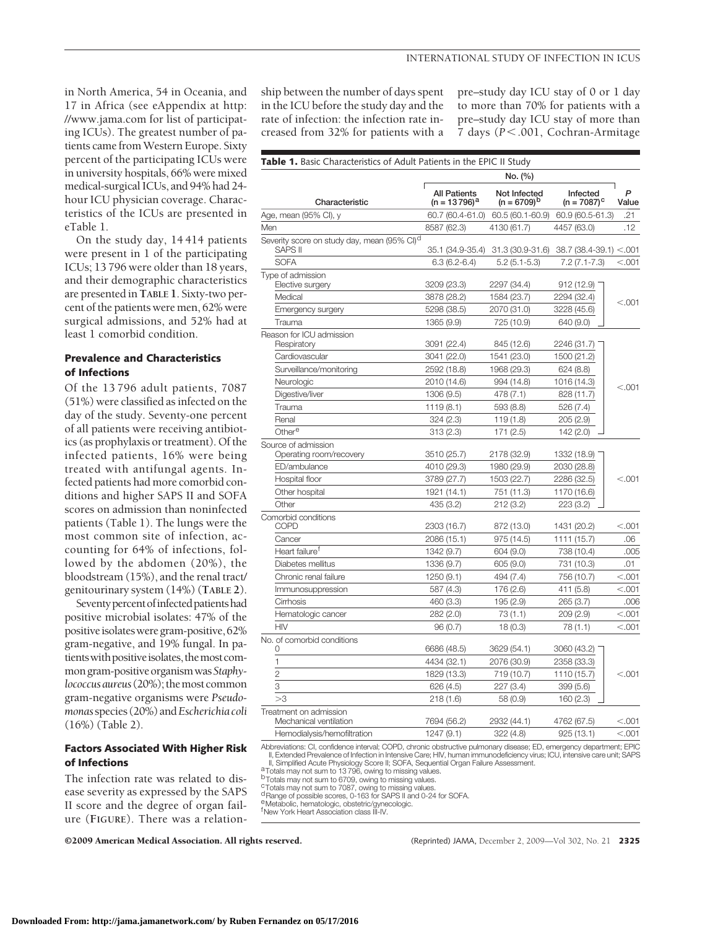in North America, 54 in Oceania, and 17 in Africa (see eAppendix at http: //www.jama.com for list of participating ICUs). The greatest number of patients came fromWestern Europe. Sixty percent of the participating ICUs were in university hospitals, 66% were mixed medical-surgical ICUs, and 94% had 24 hour ICU physician coverage. Characteristics of the ICUs are presented in eTable 1.

On the study day, 14 414 patients were present in 1 of the participating ICUs; 13 796 were older than 18 years, and their demographic characteristics are presented in **TABLE 1**. Sixty-two percent of the patients were men, 62% were surgical admissions, and 52% had at least 1 comorbid condition.

## **Prevalence and Characteristics of Infections**

Of the 13 796 adult patients, 7087 (51%) were classified as infected on the day of the study. Seventy-one percent of all patients were receiving antibiotics (as prophylaxis or treatment). Of the infected patients, 16% were being treated with antifungal agents. Infected patients had more comorbid conditions and higher SAPS II and SOFA scores on admission than noninfected patients (Table 1). The lungs were the most common site of infection, accounting for 64% of infections, followed by the abdomen (20%), the bloodstream (15%), and the renal tract/ genitourinary system (14%) (**TABLE 2**).

Seventy percent of infected patients had positive microbial isolates: 47% of the positive isolates were gram-positive, 62% gram-negative, and 19% fungal. In patients with positive isolates, the most commongram-positiveorganismwas*Staphy*lococcus aureus (20%); the most common gram-negative organisms were *Pseudomonas*species (20%) and*Escherichia coli* (16%) (Table 2).

## **Factors Associated With Higher Risk of Infections**

The infection rate was related to disease severity as expressed by the SAPS II score and the degree of organ failure (**FIGURE**). There was a relationship between the number of days spent in the ICU before the study day and the rate of infection: the infection rate increased from 32% for patients with a

pre–study day ICU stay of 0 or 1 day to more than 70% for patients with a pre–study day ICU stay of more than 7 days (*P*.001, Cochran-Armitage

|                                                                           | No. (%)                                |                                  |                            |            |  |  |
|---------------------------------------------------------------------------|----------------------------------------|----------------------------------|----------------------------|------------|--|--|
| Characteristic                                                            | <b>All Patients</b><br>$(n = 13796)^a$ | Not Infected<br>$(n = 6709)^{b}$ | Infected<br>$(n = 7087)^c$ | P<br>Value |  |  |
| Age, mean (95% Cl), y                                                     | 60.7 (60.4-61.0)                       | 60.5 (60.1-60.9)                 | 60.9 (60.5-61.3)           | .21        |  |  |
| Men                                                                       | 8587 (62.3)                            | 4130 (61.7)                      | 4457 (63.0)                | .12        |  |  |
| Severity score on study day, mean (95% CI) <sup>d</sup><br><b>SAPS II</b> | 35.1 (34.9-35.4)                       | 31.3 (30.9-31.6)                 | $38.7(38.4-39.1) < .001$   |            |  |  |
| <b>SOFA</b>                                                               | $6.3(6.2-6.4)$                         | $5.2(5.1 - 5.3)$                 | 7.2 (7.1-7.3)              | $<$ .001   |  |  |
| Type of admission<br>Elective surgery                                     | 3209 (23.3)                            | 2297 (34.4)                      | 912(12.9)                  |            |  |  |
| Medical                                                                   | 3878 (28.2)                            | 1584 (23.7)                      | 2294 (32.4)                |            |  |  |
| Emergency surgery                                                         | 5298 (38.5)                            | 2070 (31.0)                      | 3228 (45.6)                | < 0.001    |  |  |
| Trauma                                                                    | 1365 (9.9)                             | 725 (10.9)                       | 640 (9.0)                  |            |  |  |
| Reason for ICU admission<br>Respiratory                                   | 3091 (22.4)                            | 845 (12.6)                       | 2246 (31.7)                |            |  |  |
| Cardiovascular                                                            | 3041 (22.0)                            | 1541 (23.0)                      | 1500 (21.2)                |            |  |  |
| Surveillance/monitoring                                                   | 2592 (18.8)                            | 1968 (29.3)                      | 624 (8.8)                  |            |  |  |
| Neurologic                                                                | 2010 (14.6)                            | 994 (14.8)                       | 1016 (14.3)                |            |  |  |
| Digestive/liver                                                           | 1306 (9.5)                             | 478 (7.1)                        | 828 (11.7)                 | < 0.001    |  |  |
| Trauma                                                                    | 1119 (8.1)                             | 593 (8.8)                        | 526 (7.4)                  |            |  |  |
| Renal                                                                     | 324(2.3)                               | 119(1.8)                         | 205(2.9)                   |            |  |  |
| Othere                                                                    | 313(2.3)                               | 171 (2.5)                        | 142 (2.0)                  |            |  |  |
| Source of admission<br>Operating room/recovery                            | 3510 (25.7)                            | 2178 (32.9)                      | 1332 (18.9)                |            |  |  |
| ED/ambulance                                                              | 4010 (29.3)                            | 1980 (29.9)                      | 2030 (28.8)                |            |  |  |
| Hospital floor                                                            | 3789 (27.7)                            | 1503 (22.7)                      | 2286 (32.5)                | < 0.001    |  |  |
| Other hospital                                                            | 1921 (14.1)                            | 751 (11.3)                       | 1170 (16.6)                |            |  |  |
| Other                                                                     | 435 (3.2)                              | 212(3.2)                         | 223(3.2)                   |            |  |  |
| Comorbid conditions<br><b>COPD</b>                                        | 2303 (16.7)                            | 872 (13.0)                       | 1431 (20.2)                | < 0.001    |  |  |
| Cancer                                                                    | 2086 (15.1)                            | 975 (14.5)                       | 1111 (15.7)                | .06        |  |  |
| Heart failure <sup>t</sup>                                                | 1342 (9.7)                             | 604 (9.0)                        | 738 (10.4)                 | .005       |  |  |
| Diabetes mellitus                                                         | 1336 (9.7)                             | 605 (9.0)                        | 731 (10.3)                 | .01        |  |  |
| Chronic renal failure                                                     | 1250 (9.1)                             | 494 (7.4)                        | 756 (10.7)                 | < 0.001    |  |  |
| Immunosuppression                                                         | 587 (4.3)                              | 176 (2.6)                        | 411 (5.8)                  | < 0.001    |  |  |
| Cirrhosis                                                                 | 460 (3.3)                              | 195 (2.9)                        | 265 (3.7)                  | .006       |  |  |
| Hematologic cancer                                                        | 282(2.0)                               | 73 (1.1)                         | 209(2.9)                   | < 0.001    |  |  |
| <b>HIV</b>                                                                | 96(0.7)                                | 18(0.3)                          | 78 (1.1)                   | < 0.001    |  |  |
| No. of comorbid conditions<br>0                                           | 6686 (48.5)                            | 3629 (54.1)                      | 3060 (43.2)                |            |  |  |
| 1                                                                         | 4434 (32.1)                            | 2076 (30.9)                      | 2358 (33.3)                |            |  |  |
| $\overline{c}$                                                            | 1829 (13.3)                            | 719 (10.7)                       | 1110 (15.7)                | < 0.001    |  |  |
| 3                                                                         | 626 (4.5)                              | 227 (3.4)                        | 399 (5.6)                  |            |  |  |
| >3                                                                        | 218(1.6)                               | 58 (0.9)                         | 160(2.3)                   |            |  |  |
| Treatment on admission<br>Mechanical ventilation                          | 7694 (56.2)                            | 2932 (44.1)                      | 4762 (67.5)                | < 0.001    |  |  |
| Hemodialysis/hemofiltration                                               | 1247 (9.1)                             | 322 (4.8)                        | 925(13.1)                  | < 0.001    |  |  |

ll, Extended Prevalence of Infection in Intensive Care; HIV, human immunodeficiency virus; ICU, intensive care unit; SAPS<br>III, Simplified Acute Physiology Score II; SOFA, Sequential Organ Failure Assessment.<br><sup>8</sup>Totals may

bTotals may not sum to 6709, owing to missing values.

<sup>c</sup>Totals may not sum to 7087, owing to missing values.<br><sup>d</sup>Range of possible scores, 0-163 for SAPS II and 0-24 for SOFA.

e<br>Metabolic, hematologic, obstetric/gynecologic.<br><sup>f</sup>New York Heart Association class III-IV.

©2009 American Medical Association. All rights reserved. (Reprinted) JAMA, December 2, 2009—Vol 302, No. 21 **2325**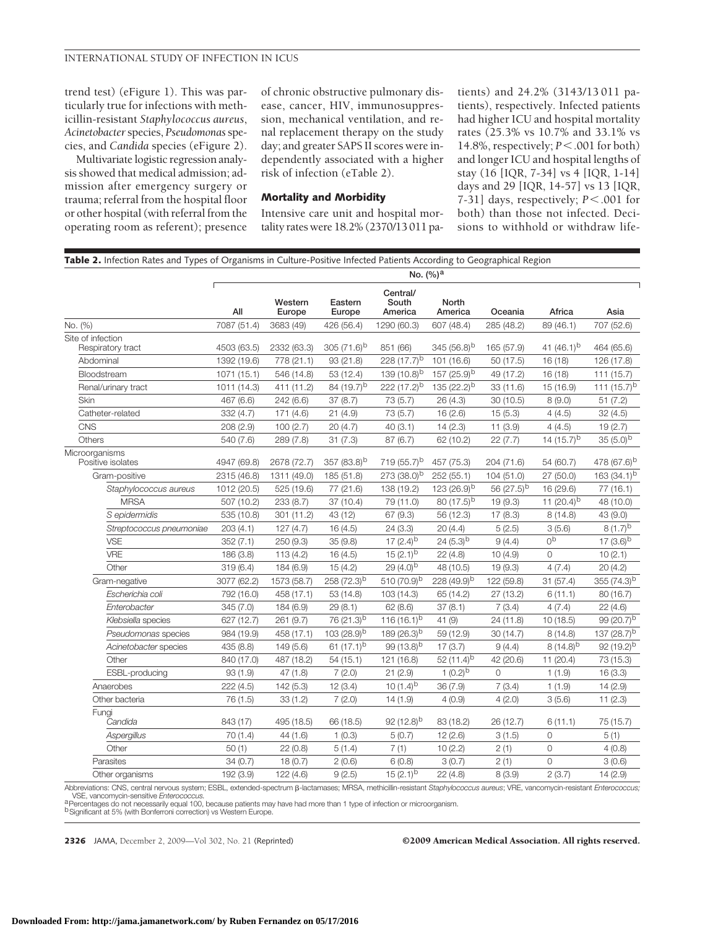trend test) (eFigure 1). This was particularly true for infections with methicillin-resistant *Staphylococcus aureus*, *Acinetobacter*species, *Pseudomonas*species, and *Candida* species (eFigure 2).

Multivariate logistic regression analysis showed that medical admission; admission after emergency surgery or trauma; referral from the hospital floor or other hospital (with referral from the operating room as referent); presence of chronic obstructive pulmonary disease, cancer, HIV, immunosuppression, mechanical ventilation, and renal replacement therapy on the study day; and greater SAPS II scores were independently associated with a higher risk of infection (eTable 2).

#### **Mortality and Morbidity**

Intensive care unit and hospital mortality rates were 18.2% (2370/13 011 patients) and 24.2% (3143/13 011 patients), respectively. Infected patients had higher ICU and hospital mortality rates (25.3% vs 10.7% and 33.1% vs 14.8%, respectively; *P*.001 for both) and longer ICU and hospital lengths of stay (16 [IQR, 7-34] vs 4 [IQR, 1-14] days and 29 [IQR, 14-57] vs 13 [IQR, 7-31] days, respectively;  $P < .001$  for both) than those not infected. Decisions to withhold or withdraw life-

|                                     | Table 2. Infection Rates and Types of Organisms in Culture-Positive Infected Patients According to Geographical Region<br>No. (%) <sup>a</sup> |                   |                         |                              |                         |                 |                 |                         |
|-------------------------------------|------------------------------------------------------------------------------------------------------------------------------------------------|-------------------|-------------------------|------------------------------|-------------------------|-----------------|-----------------|-------------------------|
|                                     | All                                                                                                                                            | Western<br>Europe | Eastern<br>Europe       | Central/<br>South<br>America | North<br>America        | Oceania         | Africa          | Asia                    |
| No. (%)                             | 7087 (51.4)                                                                                                                                    | 3683 (49)         | 426 (56.4)              | 1290 (60.3)                  | 607 (48.4)              | 285 (48.2)      | 89 (46.1)       | 707 (52.6)              |
| Site of infection                   |                                                                                                                                                |                   |                         |                              |                         |                 |                 |                         |
| Respiratory tract                   | 4503 (63.5)                                                                                                                                    | 2332 (63.3)       | 305 $(71.6)^b$          | 851 (66)                     | 345 $(56.8)^b$          | 165 (57.9)      | 41 $(46.1)^b$   | 464 (65.6)              |
| Abdominal                           | 1392 (19.6)                                                                                                                                    | 778 (21.1)        | 93 (21.8)               | 228 $(17.7)^{b}$             | 101 (16.6)              | 50 (17.5)       | 16(18)          | 126 (17.8)              |
| Bloodstream                         | 1071 (15.1)                                                                                                                                    | 546 (14.8)        | 53 (12.4)               | 139 $(10.8)^{b}$             | 157 (25.9) <sup>b</sup> | 49 (17.2)       | 16(18)          | 111 (15.7)              |
| Renal/urinary tract                 | 1011 (14.3)                                                                                                                                    | 411 (11.2)        | 84 (19.7) <sup>b</sup>  | 222 $(17.2)^{b}$             | 135 (22.2) <sup>b</sup> | 33 (11.6)       | 15 (16.9)       | 111 $(15.7)^b$          |
| Skin                                | 467 (6.6)                                                                                                                                      | 242 (6.6)         | 37(8.7)                 | 73 (5.7)                     | 26(4.3)                 | 30(10.5)        | 8(9.0)          | 51(7.2)                 |
| Catheter-related                    | 332 (4.7)                                                                                                                                      | 171(4.6)          | 21(4.9)                 | 73 (5.7)                     | 16(2.6)                 | 15(5.3)         | 4(4.5)          | 32(4.5)                 |
| CNS                                 | 208 (2.9)                                                                                                                                      | 100(2.7)          | 20(4.7)                 | 40 (3.1)                     | 14(2.3)                 | 11(3.9)         | 4(4.5)          | 19 (2.7)                |
| Others                              | 540 (7.6)                                                                                                                                      | 289 (7.8)         | 31(7.3)                 | 87 (6.7)                     | 62 (10.2)               | 22(7.7)         | 14 $(15.7)^b$   | $35(5.0)^b$             |
| Microorganisms<br>Positive isolates | 4947 (69.8)                                                                                                                                    | 2678 (72.7)       | 357 (83.8) <sup>b</sup> | 719 (55.7) <sup>b</sup>      | 457 (75.3)              | 204 (71.6)      | 54 (60.7)       | 478 (67.6) <sup>b</sup> |
| Gram-positive                       | 2315 (46.8)                                                                                                                                    | 1311 (49.0)       | 185 (51.8)              | 273 (38.0) <sup>b</sup>      | 252 (55.1)              | 104(51.0)       | 27 (50.0)       | 163 $(34.1)^b$          |
| Staphylococcus aureus               | 1012 (20.5)                                                                                                                                    | 525 (19.6)        | 77 (21.6)               | 138 (19.2)                   | 123 $(26.9)^{b}$        | 56 $(27.5)^{b}$ | 16 (29.6)       | 77 (16.1)               |
| <b>MRSA</b>                         | 507 (10.2)                                                                                                                                     | 233 (8.7)         | 37 (10.4)               | 79 (11.0)                    | 80 $(17.5)^{b}$         | 19(9.3)         | 11 $(20.4)^{b}$ | 48 (10.0)               |
| S epidermidis                       | 535 (10.8)                                                                                                                                     | 301 (11.2)        | 43 (12)                 | 67 (9.3)                     | 56 (12.3)               | 17(8.3)         | 8(14.8)         | 43 (9.0)                |
| Streptococcus pneumoniae            | 203(4.1)                                                                                                                                       | 127(4.7)          | 16 (4.5)                | 24(3.3)                      | 20(4.4)                 | 5(2.5)          | 3(5.6)          | $8(1.7)^{b}$            |
| <b>VSE</b>                          | 352(7.1)                                                                                                                                       | 250(9.3)          | 35(9.8)                 | 17 $(2.4)^{b}$               | 24 $(5.3)^b$            | 9(4.4)          | 0 <sub>p</sub>  | 17 $(3.6)^b$            |
| <b>VRE</b>                          | 186 (3.8)                                                                                                                                      | 113 (4.2)         | 16(4.5)                 | $15(2.1)^{b}$                | 22(4.8)                 | 10(4.9)         | 0               | 10(2.1)                 |
| Other                               | 319(6.4)                                                                                                                                       | 184 (6.9)         | 15(4.2)                 | $29(4.0)^{b}$                | 48 (10.5)               | 19(9.3)         | 4(7.4)          | 20(4.2)                 |
| Gram-negative                       | 3077 (62.2)                                                                                                                                    | 1573 (58.7)       | 258 (72.3) <sup>b</sup> | 510 (70.9) <sup>b</sup>      | 228 (49.9) <sup>b</sup> | 122 (59.8)      | 31(57.4)        | 355 $(74.3)^b$          |
| Escherichia coli                    | 792 (16.0)                                                                                                                                     | 458 (17.1)        | 53 (14.8)               | 103 (14.3)                   | 65 (14.2)               | 27 (13.2)       | 6(11.1)         | 80 (16.7)               |
| Enterobacter                        | 345 (7.0)                                                                                                                                      | 184 (6.9)         | 29 (8.1)                | 62 (8.6)                     | 37(8.1)                 | 7(3.4)          | 4(7.4)          | 22(4.6)                 |
| Klebsiella species                  | 627 (12.7)                                                                                                                                     | 261 (9.7)         | 76 (21.3) <sup>b</sup>  | 116 $(16.1)^b$               | 41 (9)                  | 24 (11.8)       | 10(18.5)        | 99 (20.7) <sup>b</sup>  |
| Pseudomonas species                 | 984 (19.9)                                                                                                                                     | 458 (17.1)        | 103 (28.9) <sup>b</sup> | 189 $(26.3)^{b}$             | 59 (12.9)               | 30(14.7)        | 8(14.8)         | 137 (28.7) <sup>b</sup> |
| Acinetobacter species               | 435 (8.8)                                                                                                                                      | 149 (5.6)         | 61 $(17.1)^{b}$         | 99 $(13.8)^{b}$              | 17(3.7)                 | 9(4.4)          | $8(14.8)^{b}$   | 92 $(19.2)^{b}$         |
| Other                               | 840 (17.0)                                                                                                                                     | 487 (18.2)        | 54(15.1)                | 121 (16.8)                   | 52 $(11.4)^{b}$         | 42 (20.6)       | 11(20.4)        | 73 (15.3)               |
| ESBL-producing                      | 93(1.9)                                                                                                                                        | 47(1.8)           | 7(2.0)                  | 21(2.9)                      | 1 $(0.2)^{b}$           | $\overline{O}$  | 1(1.9)          | 16(3.3)                 |
| Anaerobes                           | 222 (4.5)                                                                                                                                      | 142 (5.3)         | 12(3.4)                 | 10 $(1.4)^{b}$               | 36(7.9)                 | 7(3.4)          | 1(1.9)          | 14(2.9)                 |
| Other bacteria                      | 76 (1.5)                                                                                                                                       | 33(1.2)           | 7(2.0)                  | 14(1.9)                      | 4(0.9)                  | 4(2.0)          | 3(5.6)          | 11(2.3)                 |
| Fungi<br>Candida                    | 843 (17)                                                                                                                                       | 495 (18.5)        | 66 (18.5)               | 92 $(12.8)^{b}$              | 83 (18.2)               | 26 (12.7)       | 6(11.1)         | 75 (15.7)               |
| Aspergillus                         | 70(1.4)                                                                                                                                        | 44 (1.6)          | 1(0.3)                  | 5(0.7)                       | 12(2.6)                 | 3(1.5)          | $\circ$         | 5(1)                    |
| Other                               | 50(1)                                                                                                                                          | 22(0.8)           | 5(1.4)                  | 7(1)                         | 10(2.2)                 | 2(1)            | $\circ$         | 4(0.8)                  |
| Parasites                           | 34(0.7)                                                                                                                                        | 18(0.7)           | 2(0.6)                  | 6(0.8)                       | 3(0.7)                  | 2(1)            | $\overline{O}$  | 3(0.6)                  |
| Other organisms                     | 192 (3.9)                                                                                                                                      | 122(4.6)          | 9(2.5)                  | $15(2.1)^{b}$                | 22(4.8)                 | 8(3.9)          | 2(3.7)          | 14(2.9)                 |

Abbreviations: CNS, central nervous system; ESBL, extended-spectrum β-lactamases; MRSA, methicillin-resistant *Staphylococcus aureus*; VRE, vancomycin-resistant *Enterococcus;*<br>VSE, vancomycin-sensitive *Enterococcus.* - VSE, vancomycin-sensitive *Enterococcus.*<br><sup>a p</sup>ercentages do not necessarily equal 100, because patients may have had more than 1 type of infection or microorganism.<br><sup>b</sup> Significant at 5% (with Bonferroni correction) vs

**2326** JAMA, December 2, 2009—Vol 302, No. 21 (Reprinted) ©2009 American Medical Association. All rights reserved.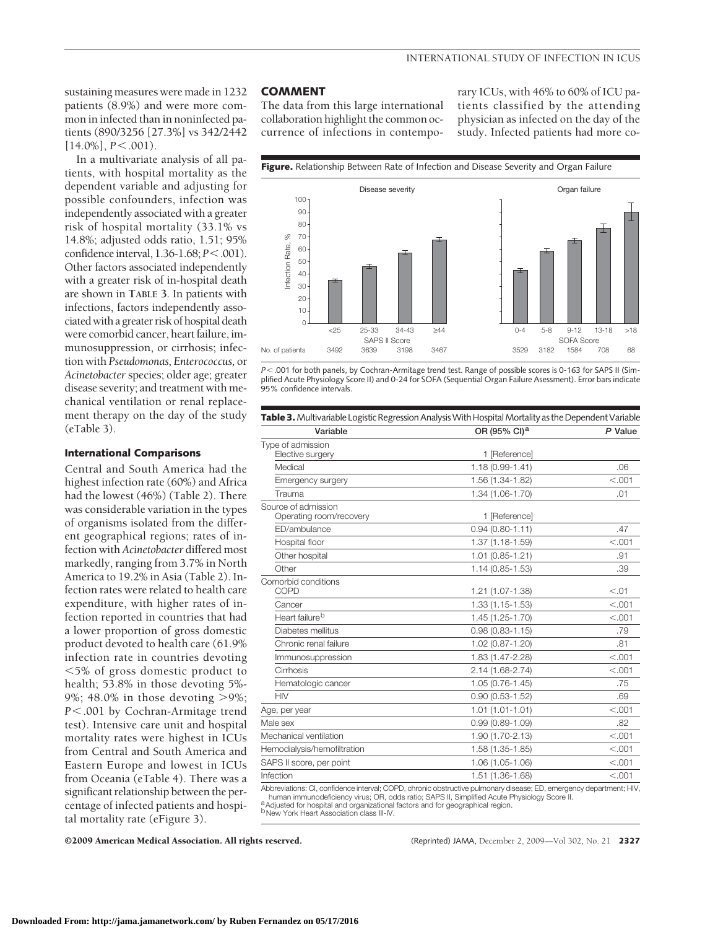sustaining measures were made in 1232 patients (8.9%) and were more common in infected than in noninfected patients (890/3256 [27.3%] vs 342/2442  $[14.0\%]$ ,  $P \le 0.001$ ).

In a multivariate analysis of all patients, with hospital mortality as the dependent variable and adjusting for possible confounders, infection was independently associated with a greater risk of hospital mortality (33.1% vs 14.8%; adjusted odds ratio, 1.51; 95% confidence interval, 1.36-1.68; *P*<.001). Other factors associated independently with a greater risk of in-hospital death are shown in **TABLE 3**. In patients with infections, factors independently associated with a greater risk of hospital death were comorbid cancer, heart failure, immunosuppression, or cirrhosis; infection with *Pseudomonas, Enterococcus,* or *Acinetobacter* species; older age; greater disease severity; and treatment with mechanical ventilation or renal replacement therapy on the day of the study (eTable 3).

#### **International Comparisons**

Central and South America had the highest infection rate (60%) and Africa had the lowest (46%) (Table 2). There was considerable variation in the types of organisms isolated from the different geographical regions; rates of infection with *Acinetobacter* differed most markedly, ranging from 3.7% in North America to 19.2% in Asia (Table 2). Infection rates were related to health care expenditure, with higher rates of infection reported in countries that had a lower proportion of gross domestic product devoted to health care (61.9% infection rate in countries devoting 5% of gross domestic product to health; 53.8% in those devoting 5%- 9%; 48.0% in those devoting >9%; *P*.001 by Cochran-Armitage trend test). Intensive care unit and hospital mortality rates were highest in ICUs from Central and South America and Eastern Europe and lowest in ICUs from Oceania (eTable 4). There was a significant relationship between the percentage of infected patients and hospital mortality rate (eFigure 3).

## **COMMENT**

The data from this large international collaboration highlight the common occurrence of infections in contempo-

rary ICUs, with 46% to 60% of ICU patients classified by the attending physician as infected on the day of the study. Infected patients had more co-



*P* < .001 for both panels, by Cochran-Armitage trend test. Range of possible scores is 0-163 for SAPS II (Simplified Acute Physiology Score II) and 0-24 for SOFA (Sequential Organ Failure Asessment). Error bars indicate 95% confidence intervals.

| Table 3. Multivariable Logistic Regression Analysis With Hospital Mortality as the Dependent Variable |                          |         |  |  |  |
|-------------------------------------------------------------------------------------------------------|--------------------------|---------|--|--|--|
| Variable                                                                                              | OR (95% CI) <sup>a</sup> | P Value |  |  |  |
| Type of admission<br>Elective surgery                                                                 | 1 [Reference]            |         |  |  |  |
| Medical                                                                                               | $1.18(0.99 - 1.41)$      | .06     |  |  |  |
| Emergency surgery                                                                                     | 1.56 (1.34-1.82)         | < .001  |  |  |  |
| Trauma                                                                                                | 1.34 (1.06-1.70)         | .01     |  |  |  |
| Source of admission<br>Operating room/recovery                                                        | 1 [Reference]            |         |  |  |  |
| ED/ambulance                                                                                          | $0.94(0.80 - 1.11)$      | .47     |  |  |  |
| Hospital floor                                                                                        | 1.37 (1.18-1.59)         | < 0.001 |  |  |  |
| Other hospital                                                                                        | $1.01(0.85 - 1.21)$      | .91     |  |  |  |
| Other                                                                                                 | $1.14(0.85 - 1.53)$      | .39     |  |  |  |
| Comorbid conditions<br><b>COPD</b>                                                                    | 1.21 (1.07-1.38)         | < 0.01  |  |  |  |
| Cancer                                                                                                | 1.33 (1.15-1.53)         | < .001  |  |  |  |
| Heart failure <sup>b</sup>                                                                            | $1.45(1.25 - 1.70)$      | < 0.001 |  |  |  |
| Diabetes mellitus                                                                                     | $0.98(0.83 - 1.15)$      | .79     |  |  |  |
| Chronic renal failure                                                                                 | 1.02 (0.87-1.20)         | .81     |  |  |  |
| Immunosuppression                                                                                     | 1.83 (1.47-2.28)         | < 0.001 |  |  |  |
| Cirrhosis                                                                                             | 2.14 (1.68-2.74)         | < 0.001 |  |  |  |
| Hematologic cancer                                                                                    | $1.05(0.76 - 1.45)$      | .75     |  |  |  |
| <b>HIV</b>                                                                                            | $0.90(0.53 - 1.52)$      | .69     |  |  |  |
| Age, per year                                                                                         | $1.01(1.01 - 1.01)$      | < 0.001 |  |  |  |
| Male sex                                                                                              | $0.99(0.89 - 1.09)$      | .82     |  |  |  |
| Mechanical ventilation                                                                                | 1.90 (1.70-2.13)         | < 0.001 |  |  |  |
| Hemodialysis/hemofiltration                                                                           | 1.58 (1.35-1.85)         | < .001  |  |  |  |
| SAPS II score, per point                                                                              | 1.06 (1.05-1.06)         | < .001  |  |  |  |
| Infection                                                                                             | 1.51 (1.36-1.68)         | < 0.001 |  |  |  |
|                                                                                                       |                          |         |  |  |  |

Abbreviations: CI, confidence interval; COPD, chronic obstructive pulmonary disease; ED, emergency department; HIV, human immunodeficiency virus; OR, odds ratio; SAPS II, Simplified Acute Physiology Score II. aAdjusted for hospital and organizational factors and for geographical region.

bNew York Heart Association class III-IV.

©2009 American Medical Association. All rights reserved. (Reprinted) JAMA, December 2, 2009—Vol 302, No. 21 **2327**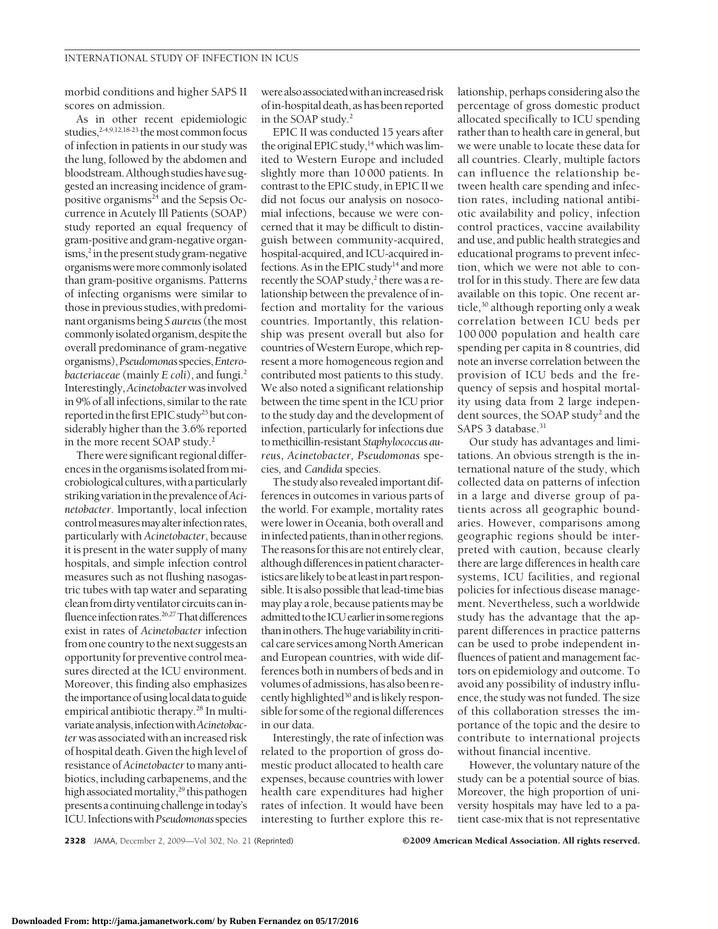morbid conditions and higher SAPS II scores on admission.

As in other recent epidemiologic studies, $2-4,9,12,18-23$  the most common focus of infection in patients in our study was the lung, followed by the abdomen and bloodstream.Although studies have suggested an increasing incidence of grampositive organisms $24$  and the Sepsis Occurrence in Acutely Ill Patients (SOAP) study reported an equal frequency of gram-positive and gram-negative organ- $\mathrm{isms}$ <sup>2</sup> in the present study gram-negative organismsweremorecommonlyisolated than gram-positive organisms. Patterns of infecting organisms were similar to those in previous studies, with predominant organisms being *S aureus*(themost commonly isolated organism, despite the overall predominance of gram-negative organisms),*Pseudomonas*species,*Enterobacteriaceae* (mainly *E coli*), and fungi.2 Interestingly,*Acinetobacter*wasinvolved in 9% of all infections, similar to the rate reported in the first EPIC study<sup>25</sup> but considerably higher than the 3.6% reported in the more recent SOAP study.<sup>2</sup>

There were significant regional differences in the organisms isolated from microbiological cultures, with a particularly striking variation in the prevalence of Aci*netobacter*. Importantly, local infection control measures may alter infection rates, particularly with *Acinetobacter*, because it is present in the water supply of many hospitals, and simple infection control measures such as not flushing nasogastric tubes with tap water and separating clean from dirty ventilator circuits can influence infection rates.<sup>26,27</sup>That differences exist in rates of *Acinetobacter* infection from one country to the next suggests an opportunity for preventive control measures directed at the ICU environment. Moreover, this finding also emphasizes the importance of using local data to guide empirical antibiotic therapy.<sup>28</sup> In multivariateanalysis,infectionwith*Acinetobacter*was associated with anincreased risk of hospital death. Given the highlevel of resistance of*Acinetobacter*to many antibiotics, including carbapenems, and the high associated mortality,<sup>29</sup> this pathogen presents a continuing challenge in today's ICU. Infectionswith*Pseudomonas*species

were also associated with an increased risk ofin-hospital death, as has been reported in the SOAP study.<sup>2</sup>

EPIC II was conducted 15 years after the original EPIC study, $14$  which was limited to Western Europe and included slightly more than 10 000 patients. In contrast to the EPIC study, in EPIC II we did not focus our analysis on nosocomial infections, because we were concerned that it may be difficult to distinguish between community-acquired, hospital-acquired, and ICU-acquired infections. As in the EPIC study<sup>14</sup> and more recently the SOAP study,<sup>2</sup> there was a relationship between the prevalence of infection and mortality for the various countries. Importantly, this relationship was present overall but also for countries ofWestern Europe, which represent a more homogeneous region and contributed most patients to this study. We also noted a significant relationship between the time spent in the ICU prior to the study day and the development of infection, particularly for infections due tomethicillin-resistant*Staphylococcus aureus*, *Acinetobacter, Pseudomonas* species*,* and *Candida* species.

The study also revealedimportant differences in outcomes in various parts of the world. For example, mortality rates were lower in Oceania, both overall and in infected patients, than in other regions. The reasons for this are not entirely clear, although differences in patient characteristics are likely to be at least in part responsible. It is also possible that lead-time bias may play a role, because patients may be admitted to the ICU earlier in some regions than in others. The huge variability in critical care services among North American and European countries, with wide differences both in numbers of beds and in volumes of admissions, has also been recently highlighted<sup>30</sup> and is likely responsible for some of the regional differences in our data.

Interestingly, the rate of infection was related to the proportion of gross domestic product allocated to health care expenses, because countries with lower health care expenditures had higher rates of infection. It would have been interesting to further explore this re-

lationship, perhaps considering also the percentage of gross domestic product allocated specifically to ICU spending rather than to health care in general, but we were unable to locate these data for all countries. Clearly, multiple factors can influence the relationship between health care spending and infection rates, including national antibiotic availability and policy, infection control practices, vaccine availability and use, and public health strategies and educational programs to prevent infection, which we were not able to control for in this study. There are few data available on this topic. One recent article,<sup>30</sup> although reporting only a weak correlation between ICU beds per 100 000 population and health care spending per capita in 8 countries, did note an inverse correlation between the provision of ICU beds and the frequency of sepsis and hospital mortality using data from 2 large independent sources, the SOAP study<sup>2</sup> and the SAPS 3 database.<sup>31</sup>

Our study has advantages and limitations. An obvious strength is the international nature of the study, which collected data on patterns of infection in a large and diverse group of patients across all geographic boundaries. However, comparisons among geographic regions should be interpreted with caution, because clearly there are large differences in health care systems, ICU facilities, and regional policies for infectious disease management. Nevertheless, such a worldwide study has the advantage that the apparent differences in practice patterns can be used to probe independent influences of patient and management factors on epidemiology and outcome. To avoid any possibility of industry influence, the study was not funded. The size of this collaboration stresses the importance of the topic and the desire to contribute to international projects without financial incentive.

However, the voluntary nature of the study can be a potential source of bias. Moreover, the high proportion of university hospitals may have led to a patient case-mix that is not representative

2328 JAMA, December 2, 2009—Vol 302, No. 21 (Reprinted) ©2009 American Medical Association. All rights reserved.